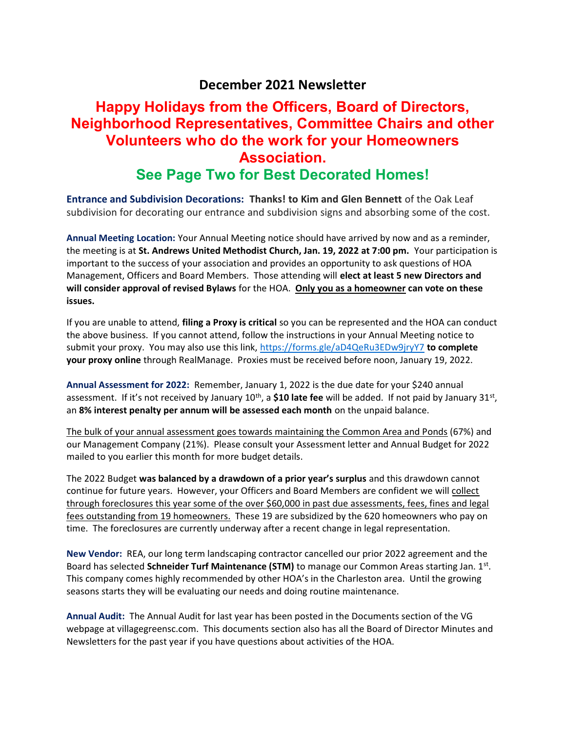#### December 2021 Newsletter

# Happy Holidays from the Officers, Board of Directors, Neighborhood Representatives, Committee Chairs and other Volunteers who do the work for your Homeowners Association.

### See Page Two for Best Decorated Homes!

Entrance and Subdivision Decorations: Thanks! to Kim and Glen Bennett of the Oak Leaf subdivision for decorating our entrance and subdivision signs and absorbing some of the cost.

Annual Meeting Location: Your Annual Meeting notice should have arrived by now and as a reminder, the meeting is at St. Andrews United Methodist Church, Jan. 19, 2022 at 7:00 pm. Your participation is important to the success of your association and provides an opportunity to ask questions of HOA Management, Officers and Board Members. Those attending will elect at least 5 new Directors and will consider approval of revised Bylaws for the HOA. Only you as a homeowner can vote on these issues.

If you are unable to attend, filing a Proxy is critical so you can be represented and the HOA can conduct the above business. If you cannot attend, follow the instructions in your Annual Meeting notice to submit your proxy. You may also use this link, https://forms.gle/aD4QeRu3EDw9jryY7 to complete your proxy online through RealManage. Proxies must be received before noon, January 19, 2022.

Annual Assessment for 2022: Remember, January 1, 2022 is the due date for your \$240 annual assessment. If it's not received by January 10<sup>th</sup>, a \$10 late fee will be added. If not paid by January 31<sup>st</sup>, an 8% interest penalty per annum will be assessed each month on the unpaid balance.

The bulk of your annual assessment goes towards maintaining the Common Area and Ponds (67%) and our Management Company (21%). Please consult your Assessment letter and Annual Budget for 2022 mailed to you earlier this month for more budget details.

The 2022 Budget was balanced by a drawdown of a prior year's surplus and this drawdown cannot continue for future years. However, your Officers and Board Members are confident we will collect through foreclosures this year some of the over \$60,000 in past due assessments, fees, fines and legal fees outstanding from 19 homeowners. These 19 are subsidized by the 620 homeowners who pay on time. The foreclosures are currently underway after a recent change in legal representation.

New Vendor: REA, our long term landscaping contractor cancelled our prior 2022 agreement and the Board has selected Schneider Turf Maintenance (STM) to manage our Common Areas starting Jan. 1st. This company comes highly recommended by other HOA's in the Charleston area. Until the growing seasons starts they will be evaluating our needs and doing routine maintenance.

Annual Audit: The Annual Audit for last year has been posted in the Documents section of the VG webpage at villagegreensc.com. This documents section also has all the Board of Director Minutes and Newsletters for the past year if you have questions about activities of the HOA.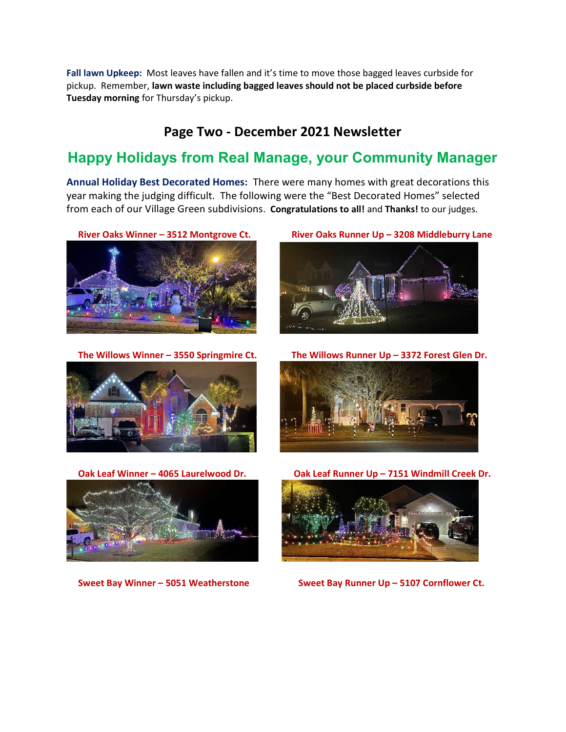Fall lawn Upkeep: Most leaves have fallen and it's time to move those bagged leaves curbside for pickup. Remember, lawn waste including bagged leaves should not be placed curbside before Tuesday morning for Thursday's pickup.

#### Page Two - December 2021 Newsletter

## Happy Holidays from Real Manage, your Community Manager

Annual Holiday Best Decorated Homes: There were many homes with great decorations this year making the judging difficult. The following were the "Best Decorated Homes" selected from each of our Village Green subdivisions. Congratulations to all! and Thanks! to our judges.







River Oaks Winner – 3512 Montgrove Ct. River Oaks Runner Up – 3208 Middleburry Lane



The Willows Winner – 3550 Springmire Ct. The Willows Runner Up – 3372 Forest Glen Dr.



Oak Leaf Winner – 4065 Laurelwood Dr. Oak Leaf Runner Up – 7151 Windmill Creek Dr.



Sweet Bay Winner – 5051 Weatherstone Sweet Bay Runner Up – 5107 Cornflower Ct.